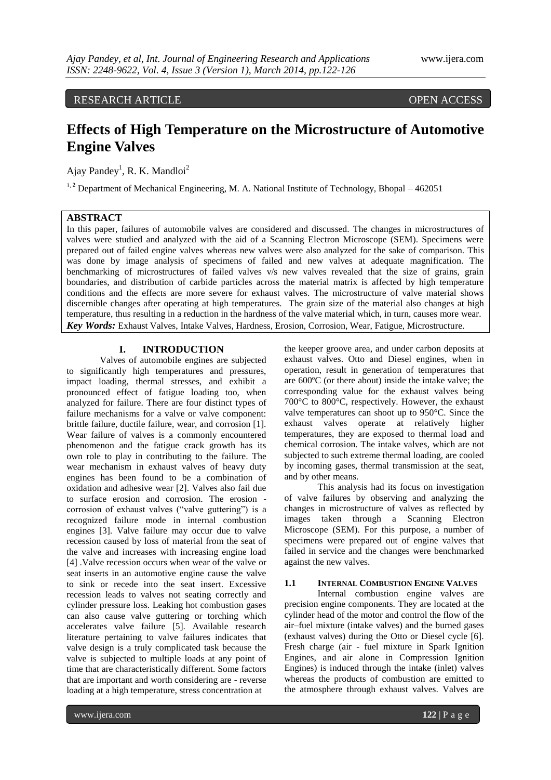# RESEARCH ARTICLE OPEN ACCESS

# **Effects of High Temperature on the Microstructure of Automotive Engine Valves**

Ajay Pandey<sup>1</sup>, R. K. Mandloi<sup>2</sup>

<sup>1, 2</sup> Department of Mechanical Engineering, M. A. National Institute of Technology, Bhopal – 462051

## **ABSTRACT**

In this paper, failures of automobile valves are considered and discussed. The changes in microstructures of valves were studied and analyzed with the aid of a Scanning Electron Microscope (SEM). Specimens were prepared out of failed engine valves whereas new valves were also analyzed for the sake of comparison. This was done by image analysis of specimens of failed and new valves at adequate magnification. The benchmarking of microstructures of failed valves v/s new valves revealed that the size of grains, grain boundaries, and distribution of carbide particles across the material matrix is affected by high temperature conditions and the effects are more severe for exhaust valves. The microstructure of valve material shows discernible changes after operating at high temperatures. The grain size of the material also changes at high temperature, thus resulting in a reduction in the hardness of the valve material which, in turn, causes more wear. *Key Words:* Exhaust Valves, Intake Valves, Hardness, Erosion, Corrosion, Wear, Fatigue, Microstructure.

### **I. INTRODUCTION**

Valves of automobile engines are subjected to significantly high temperatures and pressures, impact loading, thermal stresses, and exhibit a pronounced effect of fatigue loading too, when analyzed for failure. There are four distinct types of failure mechanisms for a valve or valve component: brittle failure, ductile failure, wear, and corrosion [1]. Wear failure of valves is a commonly encountered phenomenon and the fatigue crack growth has its own role to play in contributing to the failure. The wear mechanism in exhaust valves of heavy duty engines has been found to be a combination of oxidation and adhesive wear [2]. Valves also fail due to surface erosion and corrosion. The erosion corrosion of exhaust valves ("valve guttering") is a recognized failure mode in internal combustion engines [3]. Valve failure may occur due to valve recession caused by loss of material from the seat of the valve and increases with increasing engine load [4] .Valve recession occurs when wear of the valve or seat inserts in an automotive engine cause the valve to sink or recede into the seat insert. Excessive recession leads to valves not seating correctly and cylinder pressure loss. Leaking hot combustion gases can also cause valve guttering or torching which accelerates valve failure [5]. Available research literature pertaining to valve failures indicates that valve design is a truly complicated task because the valve is subjected to multiple loads at any point of time that are characteristically different. Some factors that are important and worth considering are - reverse loading at a high temperature, stress concentration at

the keeper groove area, and under carbon deposits at exhaust valves. Otto and Diesel engines, when in operation, result in generation of temperatures that are 600ºC (or there about) inside the intake valve; the corresponding value for the exhaust valves being 700°C to 800°C, respectively. However, the exhaust valve temperatures can shoot up to 950°C. Since the exhaust valves operate at relatively higher temperatures, they are exposed to thermal load and chemical corrosion. The intake valves, which are not subjected to such extreme thermal loading, are cooled by incoming gases, thermal transmission at the seat, and by other means.

This analysis had its focus on investigation of valve failures by observing and analyzing the changes in microstructure of valves as reflected by images taken through a Scanning Electron Microscope (SEM). For this purpose, a number of specimens were prepared out of engine valves that failed in service and the changes were benchmarked against the new valves.

#### **1.1 INTERNAL COMBUSTION ENGINE VALVES**

Internal combustion engine valves are precision engine components. They are located at the cylinder head of the motor and control the flow of the air–fuel mixture (intake valves) and the burned gases (exhaust valves) during the Otto or Diesel cycle [6]. Fresh charge (air - fuel mixture in Spark Ignition Engines, and air alone in Compression Ignition Engines) is induced through the intake (inlet) valves whereas the products of combustion are emitted to the atmosphere through exhaust valves. Valves are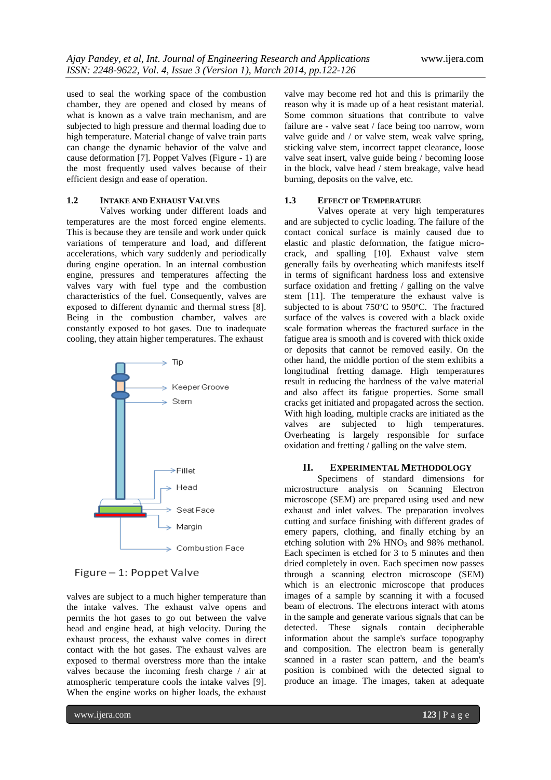used to seal the working space of the combustion chamber, they are opened and closed by means of what is known as a valve train mechanism, and are subjected to high pressure and thermal loading due to high temperature. Material change of valve train parts can change the dynamic behavior of the valve and cause deformation [7]. Poppet Valves (Figure - 1) are the most frequently used valves because of their efficient design and ease of operation.

#### **1.2 INTAKE AND EXHAUST VALVES**

Valves working under different loads and temperatures are the most forced engine elements. This is because they are tensile and work under quick variations of temperature and load, and different accelerations, which vary suddenly and periodically during engine operation. In an internal combustion engine, pressures and temperatures affecting the valves vary with fuel type and the combustion characteristics of the fuel. Consequently, valves are exposed to different dynamic and thermal stress [8]. Being in the combustion chamber, valves are constantly exposed to hot gases. Due to inadequate cooling, they attain higher temperatures. The exhaust



Figure - 1: Poppet Valve

valves are subject to a much higher temperature than the intake valves. The exhaust valve opens and permits the hot gases to go out between the valve head and engine head, at high velocity. During the exhaust process, the exhaust valve comes in direct contact with the hot gases. The exhaust valves are exposed to thermal overstress more than the intake valves because the incoming fresh charge / air at atmospheric temperature cools the intake valves [9]. When the engine works on higher loads, the exhaust

valve may become red hot and this is primarily the reason why it is made up of a heat resistant material. Some common situations that contribute to valve failure are - valve seat / face being too narrow, worn valve guide and / or valve stem, weak valve spring, sticking valve stem, incorrect tappet clearance, loose valve seat insert, valve guide being / becoming loose in the block, valve head / stem breakage, valve head burning, deposits on the valve, etc.

#### 1.3 **EFFECT OF TEMPERATURE**

Valves operate at very high temperatures and are subjected to cyclic loading. The failure of the contact conical surface is mainly caused due to elastic and plastic deformation, the fatigue microcrack, and spalling [10]. Exhaust valve stem generally fails by overheating which manifests itself in terms of significant hardness loss and extensive surface oxidation and fretting / galling on the valve stem [11]. The temperature the exhaust valve is subjected to is about 750ºC to 950ºC. The fractured surface of the valves is covered with a black oxide scale formation whereas the fractured surface in the fatigue area is smooth and is covered with thick oxide or deposits that cannot be removed easily. On the other hand, the middle portion of the stem exhibits a longitudinal fretting damage. High temperatures result in reducing the hardness of the valve material and also affect its fatigue properties. Some small cracks get initiated and propagated across the section. With high loading, multiple cracks are initiated as the valves are subjected to high temperatures. Overheating is largely responsible for surface oxidation and fretting / galling on the valve stem.

#### **II. EXPERIMENTAL METHODOLOGY**

Specimens of standard dimensions for microstructure analysis on Scanning Electron microscope (SEM) are prepared using used and new exhaust and inlet valves. The preparation involves cutting and surface finishing with different grades of emery papers, clothing, and finally etching by an etching solution with  $2\%$  HNO<sub>3</sub> and 98% methanol. Each specimen is etched for 3 to 5 minutes and then dried completely in oven. Each specimen now passes through a scanning electron microscope (SEM) which is an electronic microscope that produces images of a sample by scanning it with a focused beam of electrons. The electrons interact with atoms in the sample and generate various signals that can be detected. These signals contain decipherable information about the sample's surface topography and composition. The electron beam is generally scanned in a raster scan pattern, and the beam's position is combined with the detected signal to produce an image. The images, taken at adequate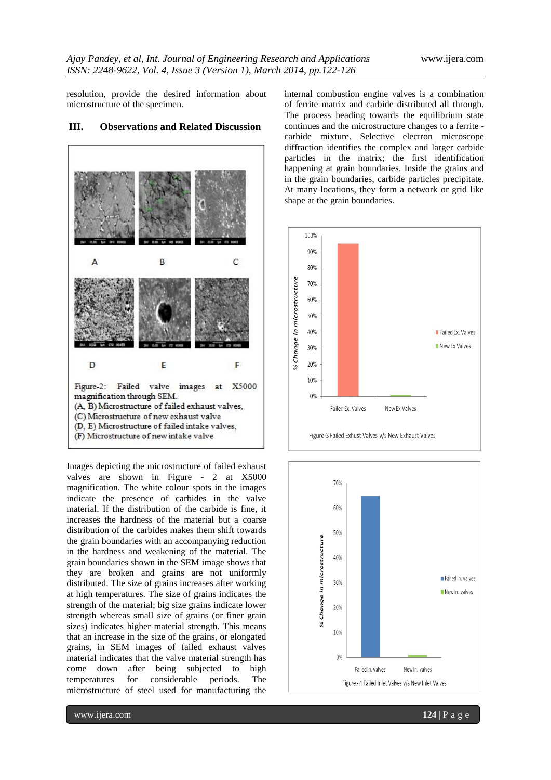resolution, provide the desired information about microstructure of the specimen.

# B C A F D E Figure-2: Failed valve images X5000 at magnification through SEM. (A, B) Microstructure of failed exhaust valves, (C) Microstructure of new exhaust valve (D, E) Microstructure of failed intake valves, (F) Microstructure of new intake valve

**III. Observations and Related Discussion**

Images depicting the microstructure of failed exhaust valves are shown in Figure - 2 at X5000 magnification. The white colour spots in the images indicate the presence of carbides in the valve material. If the distribution of the carbide is fine, it increases the hardness of the material but a coarse distribution of the carbides makes them shift towards the grain boundaries with an accompanying reduction in the hardness and weakening of the material. The grain boundaries shown in the SEM image shows that they are broken and grains are not uniformly distributed. The size of grains increases after working at high temperatures. The size of grains indicates the strength of the material; big size grains indicate lower strength whereas small size of grains (or finer grain sizes) indicates higher material strength. This means that an increase in the size of the grains, or elongated grains, in SEM images of failed exhaust valves material indicates that the valve material strength has come down after being subjected to high temperatures for considerable periods. The microstructure of steel used for manufacturing the

internal combustion engine valves is a combination of ferrite matrix and carbide distributed all through. The process heading towards the equilibrium state continues and the microstructure changes to a ferrite carbide mixture. Selective electron microscope diffraction identifies the complex and larger carbide particles in the matrix; the first identification happening at grain boundaries. Inside the grains and in the grain boundaries, carbide particles precipitate. At many locations, they form a network or grid like shape at the grain boundaries.



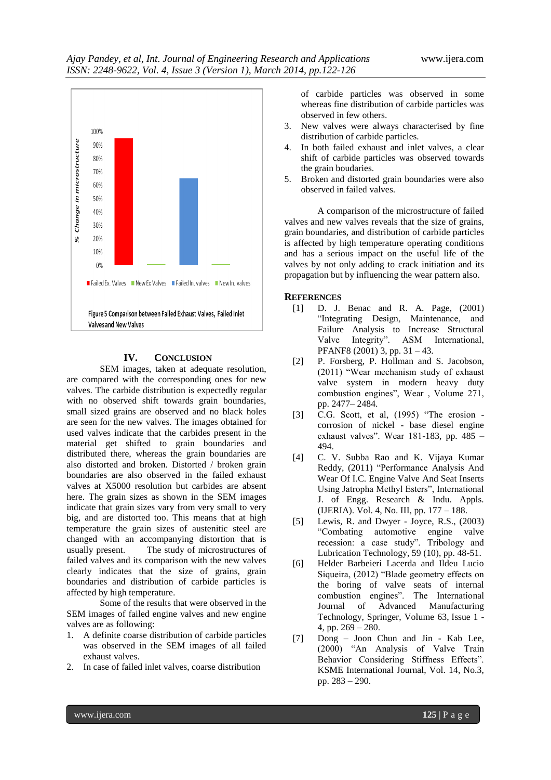

#### **IV. CONCLUSION**

SEM images, taken at adequate resolution, are compared with the corresponding ones for new valves. The carbide distribution is expectedly regular with no observed shift towards grain boundaries, small sized grains are observed and no black holes are seen for the new valves. The images obtained for used valves indicate that the carbides present in the material get shifted to grain boundaries and distributed there, whereas the grain boundaries are also distorted and broken. Distorted / broken grain boundaries are also observed in the failed exhaust valves at X5000 resolution but carbides are absent here. The grain sizes as shown in the SEM images indicate that grain sizes vary from very small to very big, and are distorted too. This means that at high temperature the grain sizes of austenitic steel are changed with an accompanying distortion that is usually present. The study of microstructures of failed valves and its comparison with the new valves clearly indicates that the size of grains, grain boundaries and distribution of carbide particles is affected by high temperature.

Some of the results that were observed in the SEM images of failed engine valves and new engine valves are as following:

- 1. A definite coarse distribution of carbide particles was observed in the SEM images of all failed exhaust valves.
- 2. In case of failed inlet valves, coarse distribution

of carbide particles was observed in some whereas fine distribution of carbide particles was observed in few others.

- 3. New valves were always characterised by fine distribution of carbide particles.
- 4. In both failed exhaust and inlet valves, a clear shift of carbide particles was observed towards the grain boudaries.
- 5. Broken and distorted grain boundaries were also observed in failed valves.

A comparison of the microstructure of failed valves and new valves reveals that the size of grains, grain boundaries, and distribution of carbide particles is affected by high temperature operating conditions and has a serious impact on the useful life of the valves by not only adding to crack initiation and its propagation but by influencing the wear pattern also.

#### **REFERENCES**

- [1] D. J. Benac and R. A. Page, (2001) "Integrating Design, Maintenance, and Failure Analysis to Increase Structural Valve Integrity". ASM International, PFANF8 (2001) 3, pp. 31 – 43.
- [2] P. Forsberg, P. Hollman and S. Jacobson, (2011) "Wear mechanism study of exhaust valve system in modern heavy duty combustion engines", Wear , Volume 271, pp. 2477– 2484.
- [3] C.G. Scott, et al, (1995) "The erosion corrosion of nickel - base diesel engine exhaust valves". Wear 181-183, pp. 485 – 494.
- [4] C. V. Subba Rao and K. Vijaya Kumar Reddy, (2011) "Performance Analysis And Wear Of I.C. Engine Valve And Seat Inserts Using Jatropha Methyl Esters", International J. of Engg. Research & Indu. Appls. (IJERIA). Vol. 4, No. III, pp. 177 – 188.
- [5] Lewis, R. and Dwyer Joyce, R.S., (2003) "Combating automotive engine valve recession: a case study". Tribology and Lubrication Technology, 59 (10), pp. 48-51.
- [6] Helder Barbeieri Lacerda and Ildeu Lucio Siqueira, (2012) "Blade geometry effects on the boring of valve seats of internal combustion engines". The International Journal of Advanced Manufacturing Technology, Springer, Volume 63, Issue 1 - 4, pp. 269 – 280.
- [7] Dong Joon Chun and Jin Kab Lee, (2000) "An Analysis of Valve Train Behavior Considering Stiffness Effects". KSME International Journal, Vol. 14, No.3, pp. 283 – 290.